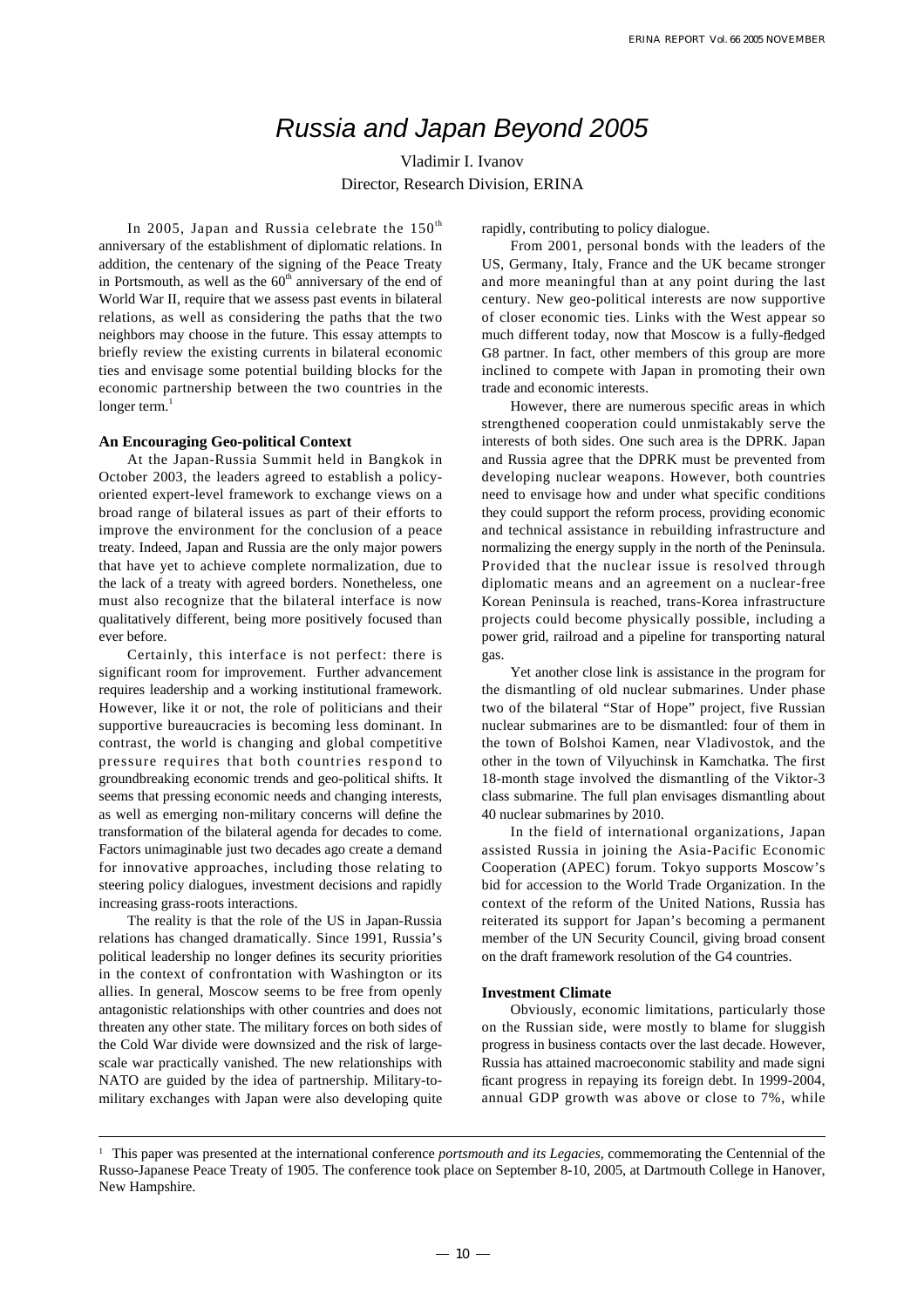# Russia and Japan Beyond 2005

Vladimir I. Ivanov Director, Research Division, ERINA

In 2005, Japan and Russia celebrate the  $150<sup>th</sup>$ anniversary of the establishment of diplomatic relations. In addition, the centenary of the signing of the Peace Treaty in Portsmouth, as well as the  $60<sup>th</sup>$  anniversary of the end of World War II, require that we assess past events in bilateral relations, as well as considering the paths that the two neighbors may choose in the future. This essay attempts to briefly review the existing currents in bilateral economic ties and envisage some potential building blocks for the economic partnership between the two countries in the longer term. $<sup>1</sup>$ </sup>

## **An Encouraging Geo-political Context**

At the Japan-Russia Summit held in Bangkok in October 2003, the leaders agreed to establish a policyoriented expert-level framework to exchange views on a broad range of bilateral issues as part of their efforts to improve the environment for the conclusion of a peace treaty. Indeed, Japan and Russia are the only major powers that have yet to achieve complete normalization, due to the lack of a treaty with agreed borders. Nonetheless, one must also recognize that the bilateral interface is now qualitatively different, being more positively focused than ever before.

Certainly, this interface is not perfect: there is significant room for improvement. Further advancement requires leadership and a working institutional framework. However, like it or not, the role of politicians and their supportive bureaucracies is becoming less dominant. In contrast, the world is changing and global competitive pressure requires that both countries respond to groundbreaking economic trends and geo-political shifts. It seems that pressing economic needs and changing interests, as well as emerging non-military concerns will define the transformation of the bilateral agenda for decades to come. Factors unimaginable just two decades ago create a demand for innovative approaches, including those relating to steering policy dialogues, investment decisions and rapidly increasing grass-roots interactions.

The reality is that the role of the US in Japan-Russia relations has changed dramatically. Since 1991, Russia's political leadership no longer defines its security priorities in the context of confrontation with Washington or its allies. In general, Moscow seems to be free from openly antagonistic relationships with other countries and does not threaten any other state. The military forces on both sides of the Cold War divide were downsized and the risk of largescale war practically vanished. The new relationships with NATO are guided by the idea of partnership. Military-tomilitary exchanges with Japan were also developing quite rapidly, contributing to policy dialogue.

From 2001, personal bonds with the leaders of the US, Germany, Italy, France and the UK became stronger and more meaningful than at any point during the last century. New geo-political interests are now supportive of closer economic ties. Links with the West appear so much different today, now that Moscow is a fully-fledged G8 partner. In fact, other members of this group are more inclined to compete with Japan in promoting their own trade and economic interests.

However, there are numerous specific areas in which strengthened cooperation could unmistakably serve the interests of both sides. One such area is the DPRK. Japan and Russia agree that the DPRK must be prevented from developing nuclear weapons. However, both countries need to envisage how and under what specific conditions they could support the reform process, providing economic and technical assistance in rebuilding infrastructure and normalizing the energy supply in the north of the Peninsula. Provided that the nuclear issue is resolved through diplomatic means and an agreement on a nuclear-free Korean Peninsula is reached, trans-Korea infrastructure projects could become physically possible, including a power grid, railroad and a pipeline for transporting natural gas.

Yet another close link is assistance in the program for the dismantling of old nuclear submarines. Under phase two of the bilateral "Star of Hope" project, five Russian nuclear submarines are to be dismantled: four of them in the town of Bolshoi Kamen, near Vladivostok, and the other in the town of Vilyuchinsk in Kamchatka. The first 18-month stage involved the dismantling of the Viktor-3 class submarine. The full plan envisages dismantling about 40 nuclear submarines by 2010.

In the field of international organizations, Japan assisted Russia in joining the Asia-Pacific Economic Cooperation (APEC) forum. Tokyo supports Moscow's bid for accession to the World Trade Organization. In the context of the reform of the United Nations, Russia has reiterated its support for Japan's becoming a permanent member of the UN Security Council, giving broad consent on the draft framework resolution of the G4 countries.

### **Investment Climate**

Obviously, economic limitations, particularly those on the Russian side, were mostly to blame for sluggish progress in business contacts over the last decade. However, Russia has attained macroeconomic stability and made signi ficant progress in repaying its foreign debt. In 1999-2004, annual GDP growth was above or close to 7%, while

<sup>&</sup>lt;sup>1</sup> This paper was presented at the international conference *portsmouth and its Legacies*, commemorating the Centennial of the Russo-Japanese Peace Treaty of 1905. The conference took place on September 8-10, 2005, at Dartmouth College in Hanover, New Hampshire.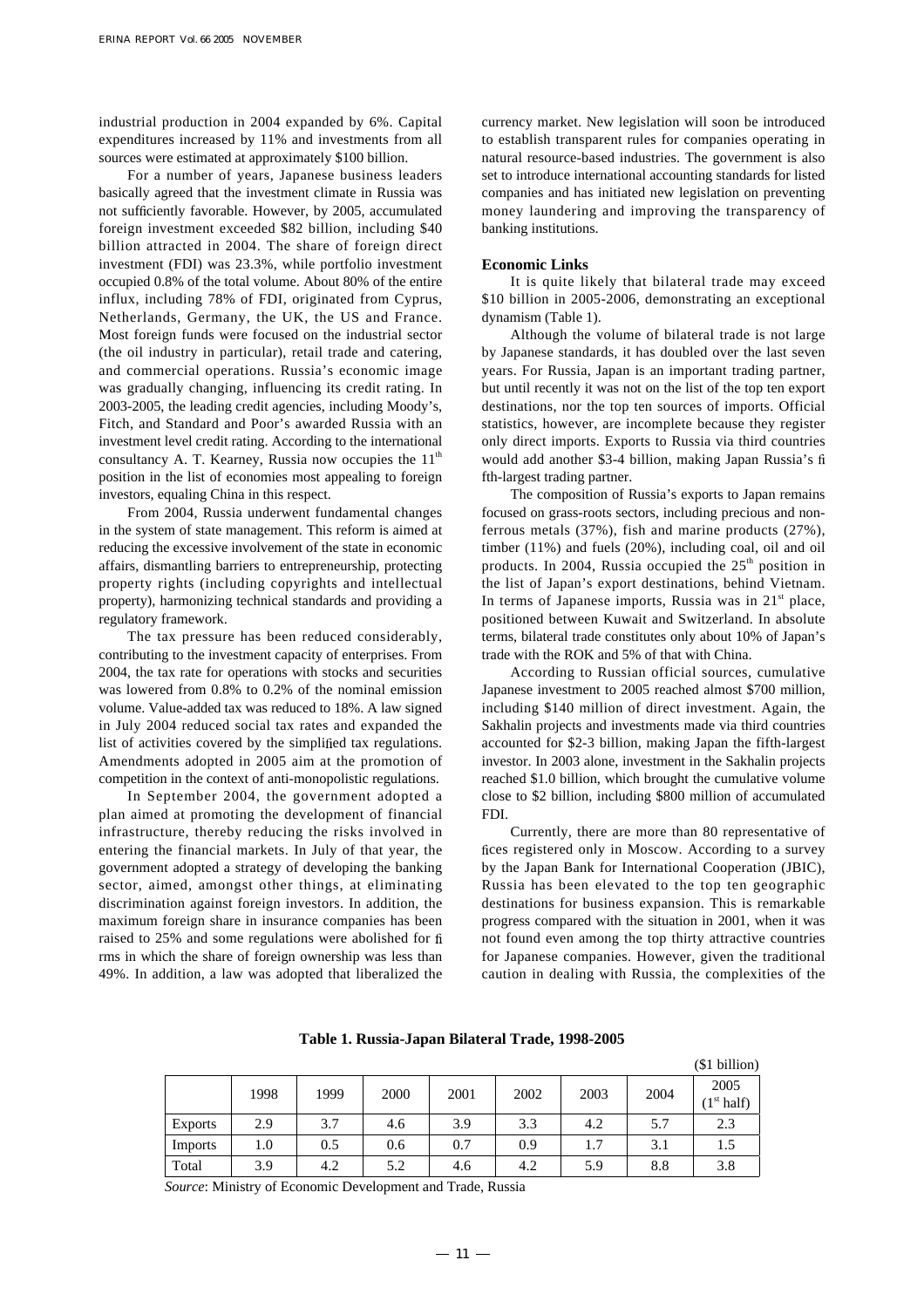industrial production in 2004 expanded by 6%. Capital expenditures increased by 11% and investments from all sources were estimated at approximately \$100 billion.

For a number of years, Japanese business leaders basically agreed that the investment climate in Russia was not sufficiently favorable. However, by 2005, accumulated foreign investment exceeded \$82 billion, including \$40 billion attracted in 2004. The share of foreign direct investment (FDI) was 23.3%, while portfolio investment occupied 0.8% of the total volume. About 80% of the entire influx, including 78% of FDI, originated from Cyprus, Netherlands, Germany, the UK, the US and France. Most foreign funds were focused on the industrial sector (the oil industry in particular), retail trade and catering, and commercial operations. Russia's economic image was gradually changing, influencing its credit rating. In 2003-2005, the leading credit agencies, including Moody's, Fitch, and Standard and Poor's awarded Russia with an investment level credit rating. According to the international consultancy A. T. Kearney, Russia now occupies the  $11<sup>th</sup>$ position in the list of economies most appealing to foreign investors, equaling China in this respect.

From 2004, Russia underwent fundamental changes in the system of state management. This reform is aimed at reducing the excessive involvement of the state in economic affairs, dismantling barriers to entrepreneurship, protecting property rights (including copyrights and intellectual property), harmonizing technical standards and providing a regulatory framework.

The tax pressure has been reduced considerably, contributing to the investment capacity of enterprises. From 2004, the tax rate for operations with stocks and securities was lowered from 0.8% to 0.2% of the nominal emission volume. Value-added tax was reduced to 18%. A law signed in July 2004 reduced social tax rates and expanded the list of activities covered by the simplified tax regulations. Amendments adopted in 2005 aim at the promotion of competition in the context of anti-monopolistic regulations.

In September 2004, the government adopted a plan aimed at promoting the development of financial infrastructure, thereby reducing the risks involved in entering the financial markets. In July of that year, the government adopted a strategy of developing the banking sector, aimed, amongst other things, at eliminating discrimination against foreign investors. In addition, the maximum foreign share in insurance companies has been raised to 25% and some regulations were abolished for rms in which the share of foreign ownership was less than 49%. In addition, a law was adopted that liberalized the currency market. New legislation will soon be introduced to establish transparent rules for companies operating in natural resource-based industries. The government is also set to introduce international accounting standards for listed companies and has initiated new legislation on preventing money laundering and improving the transparency of banking institutions.

#### **Economic Links**

It is quite likely that bilateral trade may exceed \$10 billion in 2005-2006, demonstrating an exceptional dynamism (Table 1).

Although the volume of bilateral trade is not large by Japanese standards, it has doubled over the last seven years. For Russia, Japan is an important trading partner, but until recently it was not on the list of the top ten export destinations, nor the top ten sources of imports. Official statistics, however, are incomplete because they register only direct imports. Exports to Russia via third countries would add another \$3-4 billion, making Japan Russia's fth-largest trading partner.

The composition of Russia's exports to Japan remains focused on grass-roots sectors, including precious and nonferrous metals (37%), fish and marine products (27%), timber (11%) and fuels (20%), including coal, oil and oil products. In 2004, Russia occupied the  $25<sup>th</sup>$  position in the list of Japan's export destinations, behind Vietnam. In terms of Japanese imports, Russia was in  $21<sup>st</sup>$  place, positioned between Kuwait and Switzerland. In absolute terms, bilateral trade constitutes only about 10% of Japan's trade with the ROK and 5% of that with China.

According to Russian official sources, cumulative Japanese investment to 2005 reached almost \$700 million, including \$140 million of direct investment. Again, the Sakhalin projects and investments made via third countries accounted for \$2-3 billion, making Japan the fifth-largest investor. In 2003 alone, investment in the Sakhalin projects reached \$1.0 billion, which brought the cumulative volume close to \$2 billion, including \$800 million of accumulated FDI.

Currently, there are more than 80 representative of fices registered only in Moscow. According to a survey by the Japan Bank for International Cooperation (JBIC), Russia has been elevated to the top ten geographic destinations for business expansion. This is remarkable progress compared with the situation in 2001, when it was not found even among the top thirty attractive countries for Japanese companies. However, given the traditional caution in dealing with Russia, the complexities of the

|                |      |      |      |      |      |      |      | (\$1 billion)                  |
|----------------|------|------|------|------|------|------|------|--------------------------------|
|                | 1998 | 1999 | 2000 | 2001 | 2002 | 2003 | 2004 | 2005<br>(1 <sup>st</sup> half) |
| <b>Exports</b> | 2.9  | 3.7  | 4.6  | 3.9  | 3.3  | 4.2  | 5.7  | 2.3                            |
| Imports        | 1.0  | 0.5  | 0.6  | 0.7  | 0.9  |      | 3.1  | 1.5                            |
| Total          | 3.9  | 4.2  | 5.2  | 4.6  | 4.2  | 5.9  | 8.8  | 3.8                            |

**Table 1. Russia-Japan Bilateral Trade, 1998-2005**

*Source*: Ministry of Economic Development and Trade, Russia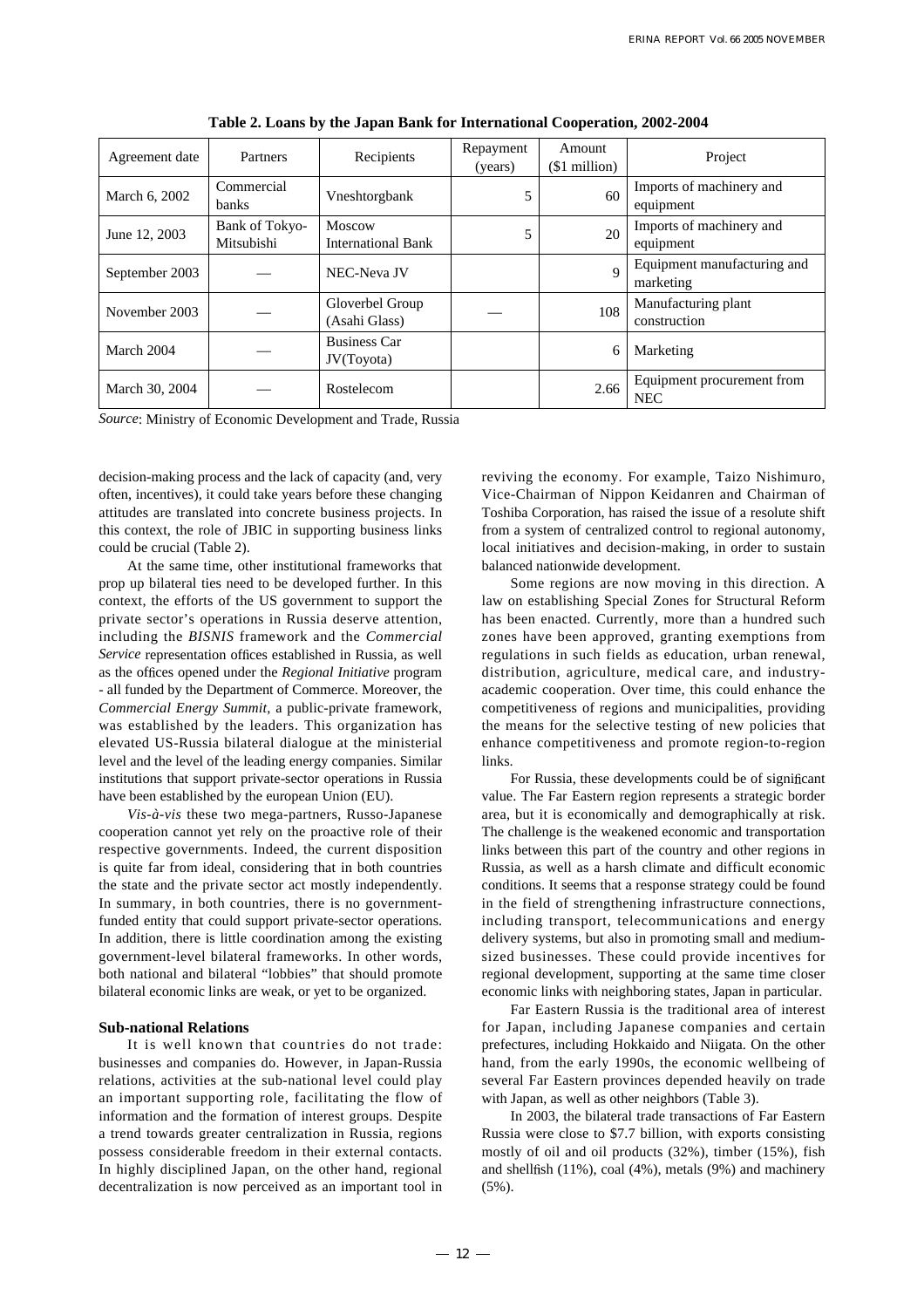| Agreement date | Partners                     | Recipients                                 | Repayment<br>(years) | Amount<br>$$1$ million) | Project                                  |
|----------------|------------------------------|--------------------------------------------|----------------------|-------------------------|------------------------------------------|
| March 6, 2002  | Commercial<br>banks          | Vneshtorgbank                              | 5                    | 60                      | Imports of machinery and<br>equipment    |
| June 12, 2003  | Bank of Tokyo-<br>Mitsubishi | <b>Moscow</b><br><b>International Bank</b> | 5                    | 20                      | Imports of machinery and<br>equipment    |
| September 2003 |                              | NEC-Neva JV                                |                      | $\mathbf Q$             | Equipment manufacturing and<br>marketing |
| November 2003  |                              | Gloverbel Group<br>(Asahi Glass)           |                      | 108                     | Manufacturing plant<br>construction      |
| March 2004     |                              | <b>Business Car</b><br>JV(Toyota)          |                      | 6                       | Marketing                                |
| March 30, 2004 |                              | Rostelecom                                 |                      | 2.66                    | Equipment procurement from<br><b>NEC</b> |

**Table 2. Loans by the Japan Bank for International Cooperation, 2002-2004** 

*Source*: Ministry of Economic Development and Trade, Russia

decision-making process and the lack of capacity (and, very often, incentives), it could take years before these changing attitudes are translated into concrete business projects. In this context, the role of JBIC in supporting business links could be crucial (Table 2).

At the same time, other institutional frameworks that prop up bilateral ties need to be developed further. In this context, the efforts of the US government to support the private sector's operations in Russia deserve attention, including the *BISNIS* framework and the *Commercial*  Service representation offices established in Russia, as well as the offices opened under the *Regional Initiative* program - all funded by the Department of Commerce. Moreover, the *Commercial Energy Summit*, a public-private framework, was established by the leaders. This organization has elevated US-Russia bilateral dialogue at the ministerial level and the level of the leading energy companies. Similar institutions that support private-sector operations in Russia have been established by the european Union (EU).

*Vis-à-vis* these two mega-partners, Russo-Japanese cooperation cannot yet rely on the proactive role of their respective governments. Indeed, the current disposition is quite far from ideal, considering that in both countries the state and the private sector act mostly independently. In summary, in both countries, there is no governmentfunded entity that could support private-sector operations. In addition, there is little coordination among the existing government-level bilateral frameworks. In other words, both national and bilateral "lobbies" that should promote bilateral economic links are weak, or yet to be organized.

#### **Sub-national Relations**

It is well known that countries do not trade: businesses and companies do. However, in Japan-Russia relations, activities at the sub-national level could play an important supporting role, facilitating the flow of information and the formation of interest groups. Despite a trend towards greater centralization in Russia, regions possess considerable freedom in their external contacts. In highly disciplined Japan, on the other hand, regional decentralization is now perceived as an important tool in reviving the economy. For example, Taizo Nishimuro, Vice-Chairman of Nippon Keidanren and Chairman of Toshiba Corporation, has raised the issue of a resolute shift from a system of centralized control to regional autonomy, local initiatives and decision-making, in order to sustain balanced nationwide development.

Some regions are now moving in this direction. A law on establishing Special Zones for Structural Reform has been enacted. Currently, more than a hundred such zones have been approved, granting exemptions from regulations in such fields as education, urban renewal, distribution, agriculture, medical care, and industryacademic cooperation. Over time, this could enhance the competitiveness of regions and municipalities, providing the means for the selective testing of new policies that enhance competitiveness and promote region-to-region links.

For Russia, these developments could be of significant value. The Far Eastern region represents a strategic border area, but it is economically and demographically at risk. The challenge is the weakened economic and transportation links between this part of the country and other regions in Russia, as well as a harsh climate and difficult economic conditions. It seems that a response strategy could be found in the field of strengthening infrastructure connections, including transport, telecommunications and energy delivery systems, but also in promoting small and mediumsized businesses. These could provide incentives for regional development, supporting at the same time closer economic links with neighboring states, Japan in particular.

Far Eastern Russia is the traditional area of interest for Japan, including Japanese companies and certain prefectures, including Hokkaido and Niigata. On the other hand, from the early 1990s, the economic wellbeing of several Far Eastern provinces depended heavily on trade with Japan, as well as other neighbors (Table 3).

In 2003, the bilateral trade transactions of Far Eastern Russia were close to \$7.7 billion, with exports consisting mostly of oil and oil products (32%), timber (15%), fish and shell fish  $(11\%)$ , coal  $(4\%)$ , metals  $(9\%)$  and machinery  $(5\%)$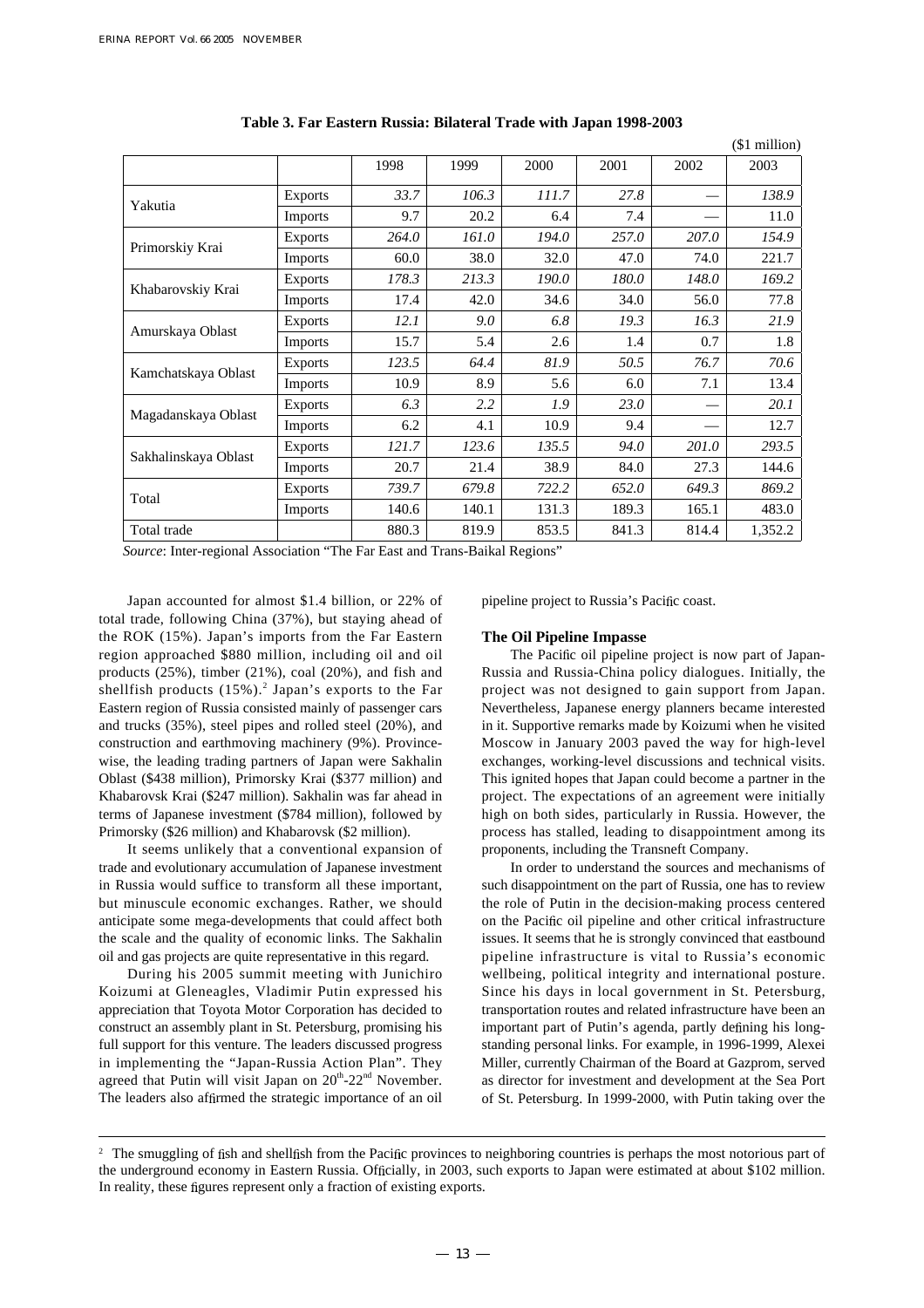|                      |                |       |       |       |       |       | $$1$ million) |
|----------------------|----------------|-------|-------|-------|-------|-------|---------------|
|                      |                | 1998  | 1999  | 2000  | 2001  | 2002  | 2003          |
| Yakutia              | <b>Exports</b> | 33.7  | 106.3 | 111.7 | 27.8  |       | 138.9         |
|                      | Imports        | 9.7   | 20.2  | 6.4   | 7.4   |       | 11.0          |
|                      | <b>Exports</b> | 264.0 | 161.0 | 194.0 | 257.0 | 207.0 | 154.9         |
| Primorskiy Krai      | <b>Imports</b> | 60.0  | 38.0  | 32.0  | 47.0  | 74.0  | 221.7         |
|                      | <b>Exports</b> | 178.3 | 213.3 | 190.0 | 180.0 | 148.0 | 169.2         |
| Khabarovskiy Krai    | Imports        | 17.4  | 42.0  | 34.6  | 34.0  | 56.0  | 77.8          |
|                      | <b>Exports</b> | 12.1  | 9.0   | 6.8   | 19.3  | 16.3  | 21.9          |
| Amurskaya Oblast     | Imports        | 15.7  | 5.4   | 2.6   | 1.4   | 0.7   | 1.8           |
| Kamchatskaya Oblast  | <b>Exports</b> | 123.5 | 64.4  | 81.9  | 50.5  | 76.7  | 70.6          |
|                      | <b>Imports</b> | 10.9  | 8.9   | 5.6   | 6.0   | 7.1   | 13.4          |
| Magadanskaya Oblast  | <b>Exports</b> | 6.3   | 2.2   | 1.9   | 23.0  |       | 20.1          |
|                      | <b>Imports</b> | 6.2   | 4.1   | 10.9  | 9.4   |       | 12.7          |
| Sakhalinskaya Oblast | <b>Exports</b> | 121.7 | 123.6 | 135.5 | 94.0  | 201.0 | 293.5         |
|                      | <b>Imports</b> | 20.7  | 21.4  | 38.9  | 84.0  | 27.3  | 144.6         |
| Total                | <b>Exports</b> | 739.7 | 679.8 | 722.2 | 652.0 | 649.3 | 869.2         |
|                      | <b>Imports</b> | 140.6 | 140.1 | 131.3 | 189.3 | 165.1 | 483.0         |
| Total trade          |                | 880.3 | 819.9 | 853.5 | 841.3 | 814.4 | 1,352.2       |

|  |  |  | Table 3. Far Eastern Russia: Bilateral Trade with Japan 1998-2003 |  |
|--|--|--|-------------------------------------------------------------------|--|
|  |  |  |                                                                   |  |

*Source*: Inter-regional Association "The Far East and Trans-Baikal Regions"

Japan accounted for almost \$1.4 billion, or 22% of total trade, following China (37%), but staying ahead of the ROK (15%). Japan's imports from the Far Eastern region approached \$880 million, including oil and oil products (25%), timber (21%), coal (20%), and fish and shellfish products  $(15\%)$ .<sup>2</sup> Japan's exports to the Far Eastern region of Russia consisted mainly of passenger cars and trucks (35%), steel pipes and rolled steel (20%), and construction and earthmoving machinery (9%). Provincewise, the leading trading partners of Japan were Sakhalin Oblast (\$438 million), Primorsky Krai (\$377 million) and Khabarovsk Krai (\$247 million). Sakhalin was far ahead in terms of Japanese investment (\$784 million), followed by Primorsky (\$26 million) and Khabarovsk (\$2 million).

It seems unlikely that a conventional expansion of trade and evolutionary accumulation of Japanese investment in Russia would suffice to transform all these important, but minuscule economic exchanges. Rather, we should anticipate some mega-developments that could affect both the scale and the quality of economic links. The Sakhalin oil and gas projects are quite representative in this regard.

During his 2005 summit meeting with Junichiro Koizumi at Gleneagles, Vladimir Putin expressed his appreciation that Toyota Motor Corporation has decided to construct an assembly plant in St. Petersburg, promising his full support for this venture. The leaders discussed progress in implementing the "Japan-Russia Action Plan". They agreed that Putin will visit Japan on  $20^{th}$ - $22^{nd}$  November. The leaders also affirmed the strategic importance of an oil pipeline project to Russia's Pacific coast.

## **The Oil Pipeline Impasse**

The Pacific oil pipeline project is now part of Japan-Russia and Russia-China policy dialogues. Initially, the project was not designed to gain support from Japan. Nevertheless, Japanese energy planners became interested in it. Supportive remarks made by Koizumi when he visited Moscow in January 2003 paved the way for high-level exchanges, working-level discussions and technical visits. This ignited hopes that Japan could become a partner in the project. The expectations of an agreement were initially high on both sides, particularly in Russia. However, the process has stalled, leading to disappointment among its proponents, including the Transneft Company.

In order to understand the sources and mechanisms of such disappointment on the part of Russia, one has to review the role of Putin in the decision-making process centered on the Pacific oil pipeline and other critical infrastructure issues. It seems that he is strongly convinced that eastbound pipeline infrastructure is vital to Russia's economic wellbeing, political integrity and international posture. Since his days in local government in St. Petersburg, transportation routes and related infrastructure have been an important part of Putin's agenda, partly defining his longstanding personal links. For example, in 1996-1999, Alexei Miller, currently Chairman of the Board at Gazprom, served as director for investment and development at the Sea Port of St. Petersburg. In 1999-2000, with Putin taking over the

<sup>&</sup>lt;sup>2</sup> The smuggling of fish and shellfish from the Pacific provinces to neighboring countries is perhaps the most notorious part of the underground economy in Eastern Russia. Officially, in 2003, such exports to Japan were estimated at about \$102 million. In reality, these figures represent only a fraction of existing exports.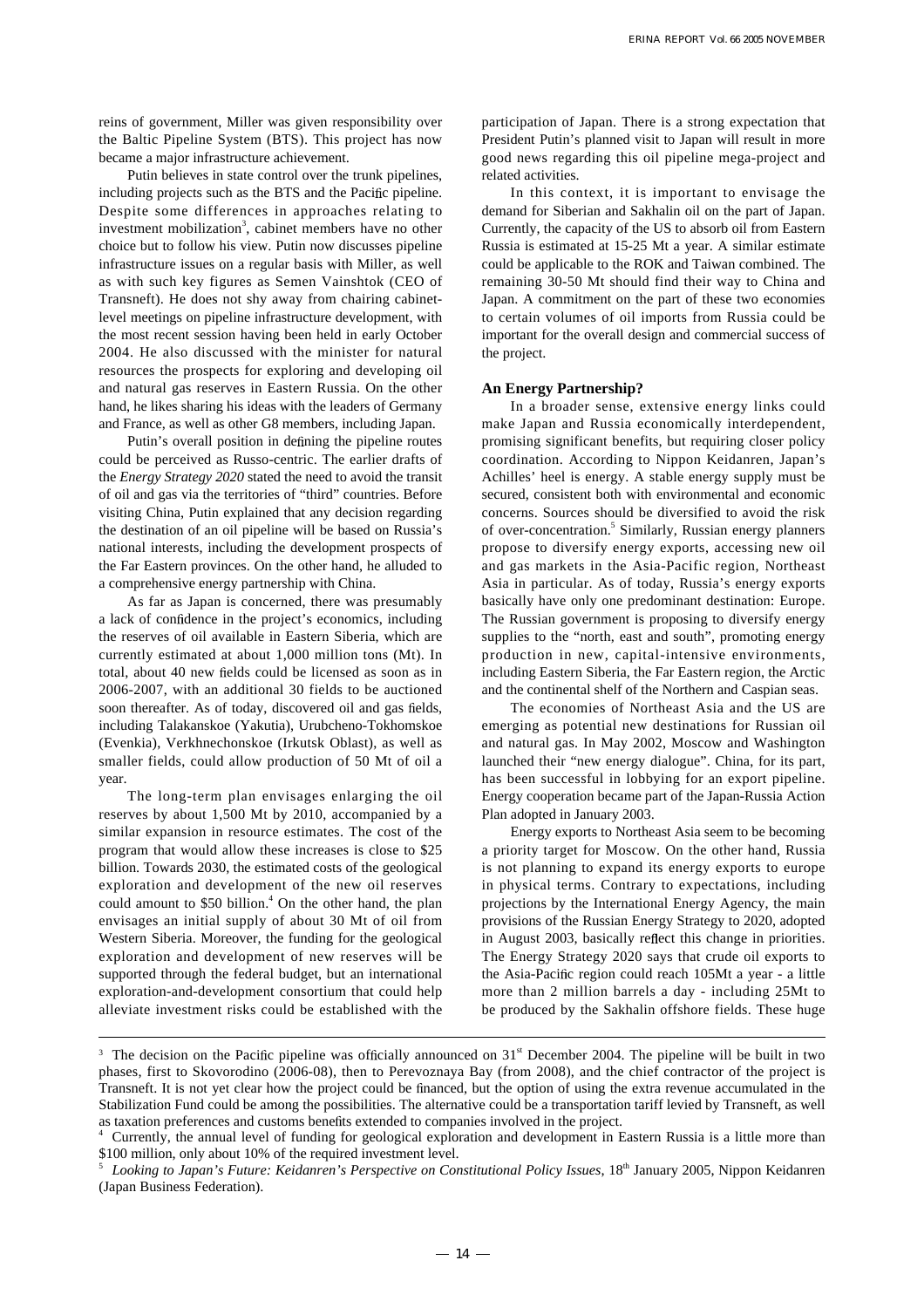reins of government, Miller was given responsibility over the Baltic Pipeline System (BTS). This project has now became a major infrastructure achievement.

Putin believes in state control over the trunk pipelines, including projects such as the BTS and the Pacific pipeline. Despite some differences in approaches relating to investment mobilization<sup>3</sup>, cabinet members have no other choice but to follow his view. Putin now discusses pipeline infrastructure issues on a regular basis with Miller, as well as with such key figures as Semen Vainshtok (CEO of Transneft). He does not shy away from chairing cabinetlevel meetings on pipeline infrastructure development, with the most recent session having been held in early October 2004. He also discussed with the minister for natural resources the prospects for exploring and developing oil and natural gas reserves in Eastern Russia. On the other hand, he likes sharing his ideas with the leaders of Germany and France, as well as other G8 members, including Japan.

Putin's overall position in defining the pipeline routes could be perceived as Russo-centric. The earlier drafts of the *Energy Strategy 2020* stated the need to avoid the transit of oil and gas via the territories of "third" countries. Before visiting China, Putin explained that any decision regarding the destination of an oil pipeline will be based on Russia's national interests, including the development prospects of the Far Eastern provinces. On the other hand, he alluded to a comprehensive energy partnership with China.

As far as Japan is concerned, there was presumably a lack of confidence in the project's economics, including the reserves of oil available in Eastern Siberia, which are currently estimated at about 1,000 million tons (Mt). In total, about 40 new fields could be licensed as soon as in 2006-2007, with an additional 30 fields to be auctioned soon thereafter. As of today, discovered oil and gas fields, including Talakanskoe (Yakutia), Urubcheno-Tokhomskoe (Evenkia), Verkhnechonskoe (Irkutsk Oblast), as well as smaller fields, could allow production of 50 Mt of oil a year.

The long-term plan envisages enlarging the oil reserves by about 1,500 Mt by 2010, accompanied by a similar expansion in resource estimates. The cost of the program that would allow these increases is close to \$25 billion. Towards 2030, the estimated costs of the geological exploration and development of the new oil reserves could amount to \$50 billion.<sup>4</sup> On the other hand, the plan envisages an initial supply of about 30 Mt of oil from Western Siberia. Moreover, the funding for the geological exploration and development of new reserves will be supported through the federal budget, but an international exploration-and-development consortium that could help alleviate investment risks could be established with the

participation of Japan. There is a strong expectation that President Putin's planned visit to Japan will result in more good news regarding this oil pipeline mega-project and related activities.

In this context, it is important to envisage the demand for Siberian and Sakhalin oil on the part of Japan. Currently, the capacity of the US to absorb oil from Eastern Russia is estimated at 15-25 Mt a year. A similar estimate could be applicable to the ROK and Taiwan combined. The remaining 30-50 Mt should find their way to China and Japan. A commitment on the part of these two economies to certain volumes of oil imports from Russia could be important for the overall design and commercial success of the project.

#### **An Energy Partnership?**

In a broader sense, extensive energy links could make Japan and Russia economically interdependent, promising significant benefits, but requiring closer policy coordination. According to Nippon Keidanren, Japan's Achilles' heel is energy. A stable energy supply must be secured, consistent both with environmental and economic concerns. Sources should be diversified to avoid the risk of over-concentration.<sup>5</sup> Similarly, Russian energy planners propose to diversify energy exports, accessing new oil and gas markets in the Asia-Pacific region, Northeast Asia in particular. As of today, Russia's energy exports basically have only one predominant destination: Europe. The Russian government is proposing to diversify energy supplies to the "north, east and south", promoting energy production in new, capital-intensive environments, including Eastern Siberia, the Far Eastern region, the Arctic and the continental shelf of the Northern and Caspian seas.

The economies of Northeast Asia and the US are emerging as potential new destinations for Russian oil and natural gas. In May 2002, Moscow and Washington launched their "new energy dialogue". China, for its part, has been successful in lobbying for an export pipeline. Energy cooperation became part of the Japan-Russia Action Plan adopted in January 2003.

Energy exports to Northeast Asia seem to be becoming a priority target for Moscow. On the other hand, Russia is not planning to expand its energy exports to europe in physical terms. Contrary to expectations, including projections by the International Energy Agency, the main provisions of the Russian Energy Strategy to 2020, adopted in August 2003, basically reflect this change in priorities. The Energy Strategy 2020 says that crude oil exports to the Asia-Pacific region could reach 105Mt a year - a little more than 2 million barrels a day - including 25Mt to be produced by the Sakhalin offshore fields. These huge

<sup>&</sup>lt;sup>3</sup> The decision on the Pacific pipeline was officially announced on  $31<sup>st</sup>$  December 2004. The pipeline will be built in two phases, first to Skovorodino (2006-08), then to Perevoznaya Bay (from 2008), and the chief contractor of the project is Transneft. It is not yet clear how the project could be financed, but the option of using the extra revenue accumulated in the Stabilization Fund could be among the possibilities. The alternative could be a transportation tariff levied by Transneft, as well as taxation preferences and customs benefits extended to companies involved in the project.

<sup>4</sup> Currently, the annual level of funding for geological exploration and development in Eastern Russia is a little more than \$100 million, only about 10% of the required investment level.

Looking to Japan's Future: Keidanren's Perspective on Constitutional Policy Issues, 18<sup>th</sup> January 2005, Nippon Keidanren (Japan Business Federation).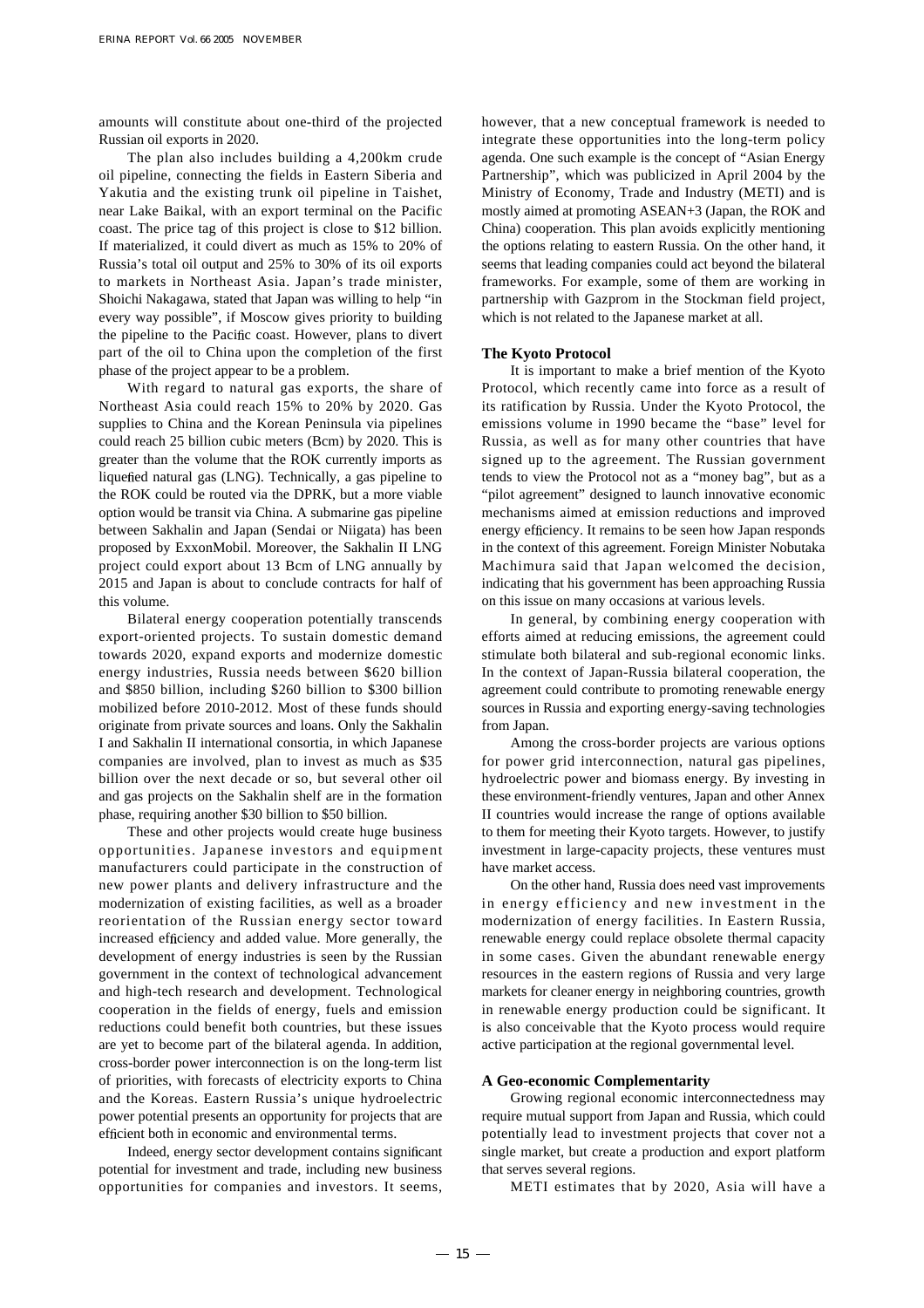amounts will constitute about one-third of the projected Russian oil exports in 2020.

The plan also includes building a 4,200km crude oil pipeline, connecting the fields in Eastern Siberia and Yakutia and the existing trunk oil pipeline in Taishet, near Lake Baikal, with an export terminal on the Pacific coast. The price tag of this project is close to \$12 billion. If materialized, it could divert as much as 15% to 20% of Russia's total oil output and 25% to 30% of its oil exports to markets in Northeast Asia. Japan's trade minister, Shoichi Nakagawa, stated that Japan was willing to help "in every way possible", if Moscow gives priority to building the pipeline to the Pacific coast. However, plans to divert part of the oil to China upon the completion of the first phase of the project appear to be a problem.

With regard to natural gas exports, the share of Northeast Asia could reach 15% to 20% by 2020. Gas supplies to China and the Korean Peninsula via pipelines could reach 25 billion cubic meters (Bcm) by 2020. This is greater than the volume that the ROK currently imports as liquefied natural gas (LNG). Technically, a gas pipeline to the ROK could be routed via the DPRK, but a more viable option would be transit via China. A submarine gas pipeline between Sakhalin and Japan (Sendai or Niigata) has been proposed by ExxonMobil. Moreover, the Sakhalin II LNG project could export about 13 Bcm of LNG annually by 2015 and Japan is about to conclude contracts for half of this volume.

Bilateral energy cooperation potentially transcends export-oriented projects. To sustain domestic demand towards 2020, expand exports and modernize domestic energy industries, Russia needs between \$620 billion and \$850 billion, including \$260 billion to \$300 billion mobilized before 2010-2012. Most of these funds should originate from private sources and loans. Only the Sakhalin I and Sakhalin II international consortia, in which Japanese companies are involved, plan to invest as much as \$35 billion over the next decade or so, but several other oil and gas projects on the Sakhalin shelf are in the formation phase, requiring another \$30 billion to \$50 billion.

These and other projects would create huge business opportunities. Japanese investors and equipment manufacturers could participate in the construction of new power plants and delivery infrastructure and the modernization of existing facilities, as well as a broader reorientation of the Russian energy sector toward increased efficiency and added value. More generally, the development of energy industries is seen by the Russian government in the context of technological advancement and high-tech research and development. Technological cooperation in the fields of energy, fuels and emission reductions could benefit both countries, but these issues are yet to become part of the bilateral agenda. In addition, cross-border power interconnection is on the long-term list of priorities, with forecasts of electricity exports to China and the Koreas. Eastern Russia's unique hydroelectric power potential presents an opportunity for projects that are efficient both in economic and environmental terms.

Indeed, energy sector development contains significant potential for investment and trade, including new business opportunities for companies and investors. It seems,

however, that a new conceptual framework is needed to integrate these opportunities into the long-term policy agenda. One such example is the concept of "Asian Energy Partnership", which was publicized in April 2004 by the Ministry of Economy, Trade and Industry (METI) and is mostly aimed at promoting ASEAN+3 (Japan, the ROK and China) cooperation. This plan avoids explicitly mentioning the options relating to eastern Russia. On the other hand, it seems that leading companies could act beyond the bilateral frameworks. For example, some of them are working in partnership with Gazprom in the Stockman field project, which is not related to the Japanese market at all.

#### **The Kyoto Protocol**

It is important to make a brief mention of the Kyoto Protocol, which recently came into force as a result of its ratification by Russia. Under the Kyoto Protocol, the emissions volume in 1990 became the "base" level for Russia, as well as for many other countries that have signed up to the agreement. The Russian government tends to view the Protocol not as a "money bag", but as a "pilot agreement" designed to launch innovative economic mechanisms aimed at emission reductions and improved energy efficiency. It remains to be seen how Japan responds in the context of this agreement. Foreign Minister Nobutaka Machimura said that Japan welcomed the decision, indicating that his government has been approaching Russia on this issue on many occasions at various levels.

In general, by combining energy cooperation with efforts aimed at reducing emissions, the agreement could stimulate both bilateral and sub-regional economic links. In the context of Japan-Russia bilateral cooperation, the agreement could contribute to promoting renewable energy sources in Russia and exporting energy-saving technologies from Japan.

Among the cross-border projects are various options for power grid interconnection, natural gas pipelines, hydroelectric power and biomass energy. By investing in these environment-friendly ventures, Japan and other Annex II countries would increase the range of options available to them for meeting their Kyoto targets. However, to justify investment in large-capacity projects, these ventures must have market access.

On the other hand, Russia does need vast improvements in energy efficiency and new investment in the modernization of energy facilities. In Eastern Russia, renewable energy could replace obsolete thermal capacity in some cases. Given the abundant renewable energy resources in the eastern regions of Russia and very large markets for cleaner energy in neighboring countries, growth in renewable energy production could be significant. It is also conceivable that the Kyoto process would require active participation at the regional governmental level.

#### **A Geo-economic Complementarity**

Growing regional economic interconnectedness may require mutual support from Japan and Russia, which could potentially lead to investment projects that cover not a single market, but create a production and export platform that serves several regions.

METI estimates that by 2020, Asia will have a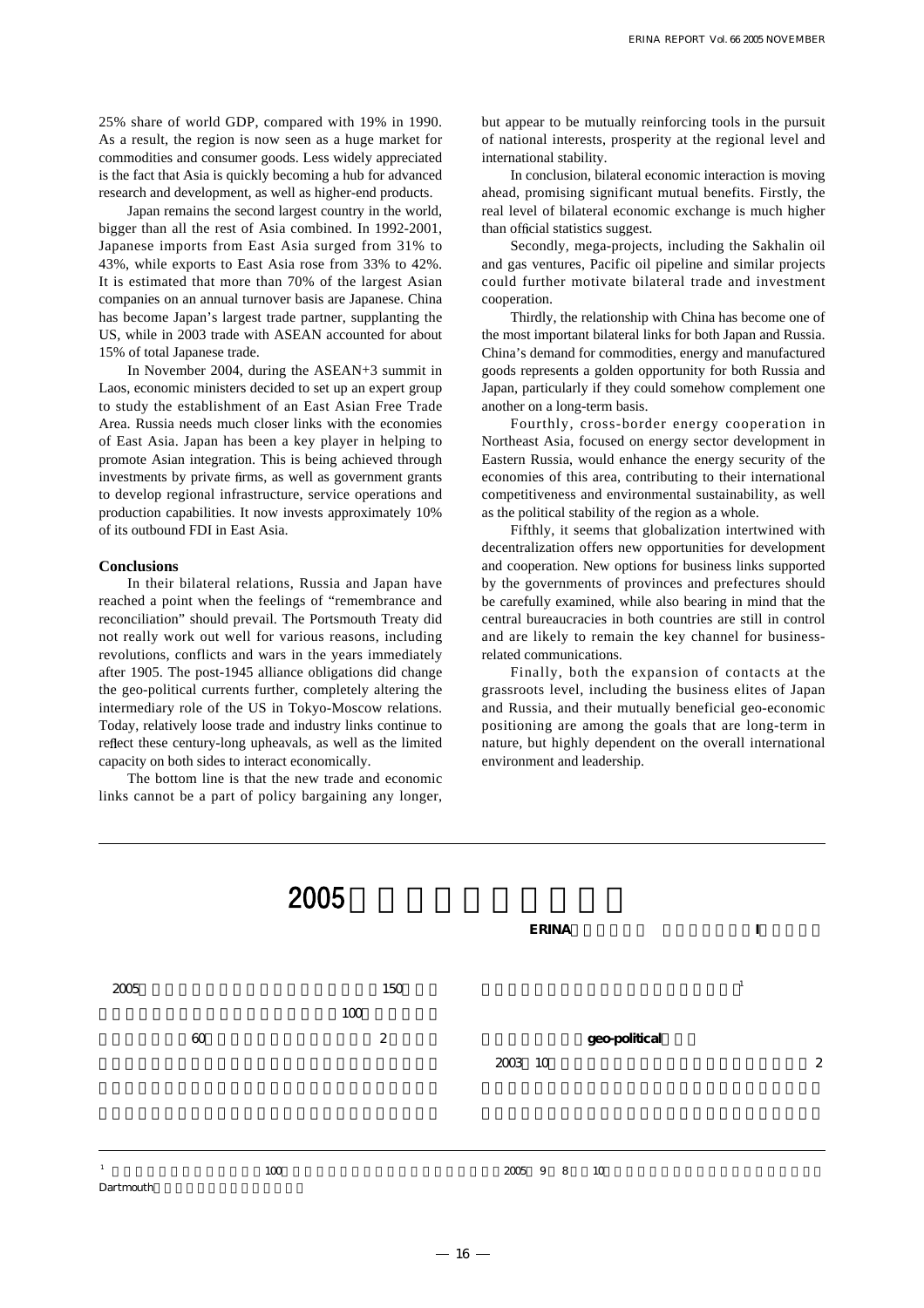Japan remains the second largest country in the world, bigger than all the rest of Asia combined. In 1992-2001, Japanese imports from East Asia surged from 31% to 43%, while exports to East Asia rose from 33% to 42%. It is estimated that more than 70% of the largest Asian companies on an annual turnover basis are Japanese. China has become Japan's largest trade partner, supplanting the US, while in 2003 trade with ASEAN accounted for about 15% of total Japanese trade.

In November 2004, during the ASEAN+3 summit in Laos, economic ministers decided to set up an expert group to study the establishment of an East Asian Free Trade Area. Russia needs much closer links with the economies of East Asia. Japan has been a key player in helping to promote Asian integration. This is being achieved through investments by private firms, as well as government grants to develop regional infrastructure, service operations and production capabilities. It now invests approximately 10% of its outbound FDI in East Asia.

#### **Conclusions**

In their bilateral relations, Russia and Japan have reached a point when the feelings of "remembrance and reconciliation" should prevail. The Portsmouth Treaty did not really work out well for various reasons, including revolutions, conflicts and wars in the years immediately after 1905. The post-1945 alliance obligations did change the geo-political currents further, completely altering the intermediary role of the US in Tokyo-Moscow relations. Today, relatively loose trade and industry links continue to reflect these century-long upheavals, as well as the limited capacity on both sides to interact economically.

The bottom line is that the new trade and economic links cannot be a part of policy bargaining any longer, but appear to be mutually reinforcing tools in the pursuit of national interests, prosperity at the regional level and international stability.

In conclusion, bilateral economic interaction is moving ahead, promising significant mutual benefits. Firstly, the real level of bilateral economic exchange is much higher than official statistics suggest.

Secondly, mega-projects, including the Sakhalin oil and gas ventures, Pacific oil pipeline and similar projects could further motivate bilateral trade and investment cooperation.

Thirdly, the relationship with China has become one of the most important bilateral links for both Japan and Russia. China's demand for commodities, energy and manufactured goods represents a golden opportunity for both Russia and Japan, particularly if they could somehow complement one another on a long-term basis.

Fourthly, cross-border energy cooperation in Northeast Asia, focused on energy sector development in Eastern Russia, would enhance the energy security of the economies of this area, contributing to their international competitiveness and environmental sustainability, as well as the political stability of the region as a whole.

Fifthly, it seems that globalization intertwined with decentralization offers new opportunities for development and cooperation. New options for business links supported by the governments of provinces and prefectures should be carefully examined, while also bearing in mind that the central bureaucracies in both countries are still in control and are likely to remain the key channel for businessrelated communications.

Finally, both the expansion of contacts at the grassroots level, including the business elites of Japan and Russia, and their mutually beneficial geo-economic positioning are among the goals that are long-term in nature, but highly dependent on the overall international environment and leadership.

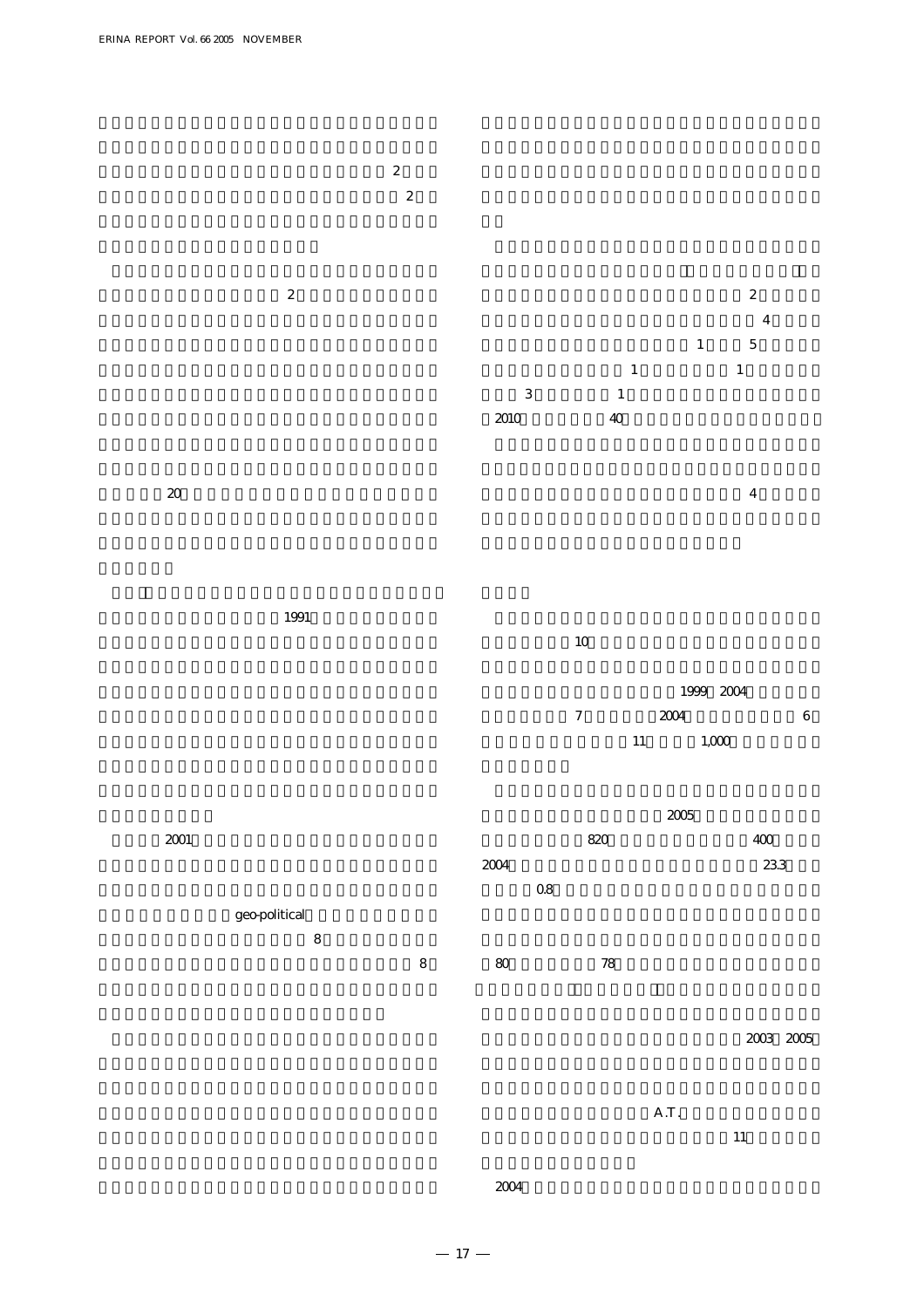$2004$ 

 $A.T.$  $11$ 

れ、債券市場における信用も高まってきた。2003~2005年

 $8$  $8<sub>3</sub>$  $2004$  $\Omega$ 8  $80 \t 78$ 

平均成長率は約 7 %であった。2004年に鉱工業生産高が 6 %  $11 \t 1,000$  $2005$ 

assets 820

 $1991$  $10$ 1999  $2004$ 

 $20$  $2010 \t\t 40$  $4\,$ 

 $\mathbf 2$  $\overline{c}$  $4\,$  $1 \t 5$  $\frac{1}{1}$   $\frac{1}{1}$  $3 \t 1$ 

 $\sim$  2  $\sim$  2

 $2001$ 

geo-political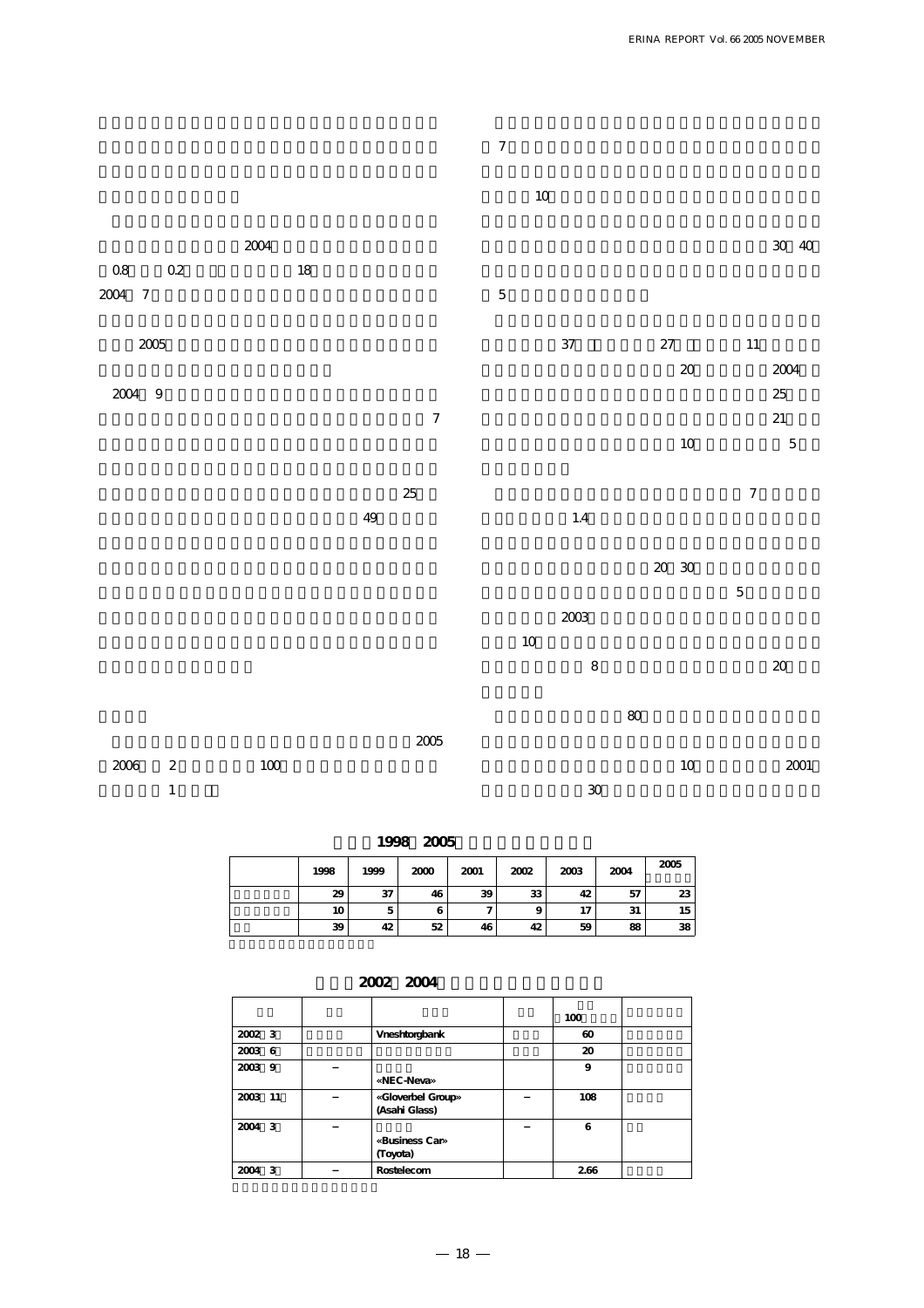

 $\overline{1}$ 

1998  $2005$ 

| 1998 | 1999 | 2000 | 2001        | 2002 | 2003   | 2004 | 2005 |
|------|------|------|-------------|------|--------|------|------|
| 29   | 37   | 46   | 39          | 33   | 42     | 57   | 23   |
| 10   | ັ    |      | <b>CONT</b> |      | $\sim$ | 31   | 15   |
| 39   | 42   | 52   | 46          | 42   | 59     | 88   | 38   |

 $30$ 

|              |                                    | 100  |  |
|--------------|------------------------------------|------|--|
| 2002 3       | Vneshtorgbank                      | 60   |  |
| 2003 6       |                                    | 20   |  |
| 2003 9       | «NEC-Neva»                         | 9    |  |
| - 11<br>2003 | «Gloverbel Group»<br>(Asahi Glass) | 108  |  |
| 2004 3       | «Business Car»<br>(Toyota)         | 6    |  |
| 2004 3       | Rostelecom                         | 2.66 |  |

**表2.2002~2004年国際協力銀行による貸付**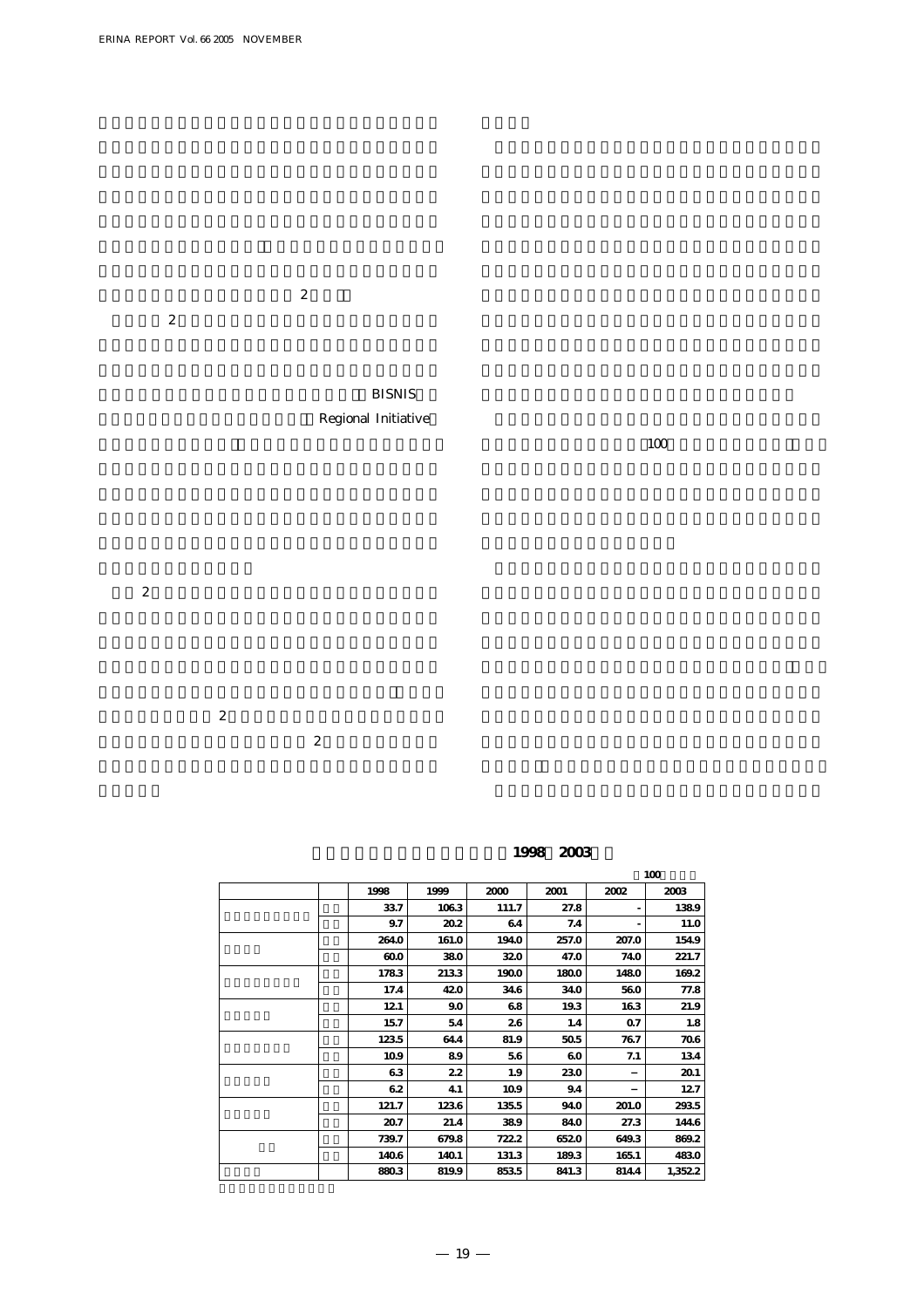$\mathbf{c}$  $2$ 

# **BISNIS**

# Regional Initiative

 $2$ 

 $2$ 

 $\overline{2}$ 

**表3.ロシア極東:対日貿易(1998~2003年)**

 $100$ 

|       |       |       |       |                          | 100     |
|-------|-------|-------|-------|--------------------------|---------|
| 1998  | 1999  | 2000  | 2001  | 2002                     | 2003    |
| 33.7  | 106.3 | 111.7 | 27.8  | $\overline{\phantom{a}}$ | 138.9   |
| 9.7   | 20.2  | 6.4   | 7.4   | $\overline{\phantom{a}}$ | 11.0    |
| 264.0 | 161.0 | 194.0 | 257.0 | 207.0                    | 154.9   |
| 60.0  | 38.0  | 32.0  | 47.0  | 74.0                     | 221.7   |
| 178.3 | 213.3 | 190.0 | 180.0 | 148.0                    | 169.2   |
| 17.4  | 42.0  | 34.6  | 34.0  | 56.0                     | 77.8    |
| 12.1  | 9.0   | 6.8   | 19.3  | 16.3                     | 21.9    |
| 15.7  | 5.4   | 2.6   | 1.4   | 0.7                      | 1.8     |
| 123.5 | 64.4  | 81.9  | 50.5  | 76.7                     | 70.6    |
| 10.9  | 8.9   | 5.6   | 6.0   | 7.1                      | 13.4    |
| 6.3   | 2.2   | 1.9   | 23.0  |                          | 20.1    |
| 6.2   | 4.1   | 10.9  | 9.4   |                          | 12.7    |
| 121.7 | 123.6 | 135.5 | 94.0  | 201.0                    | 293.5   |
| 20.7  | 21.4  | 38.9  | 84.0  | 27.3                     | 144.6   |
| 739.7 | 679.8 | 722.2 | 652.0 | 649.3                    | 869.2   |
| 140.6 | 140.1 | 131.3 | 189.3 | 165.1                    | 483.0   |
| 880.3 | 819.9 | 853.5 | 841.3 | 814.4                    | 1,352.2 |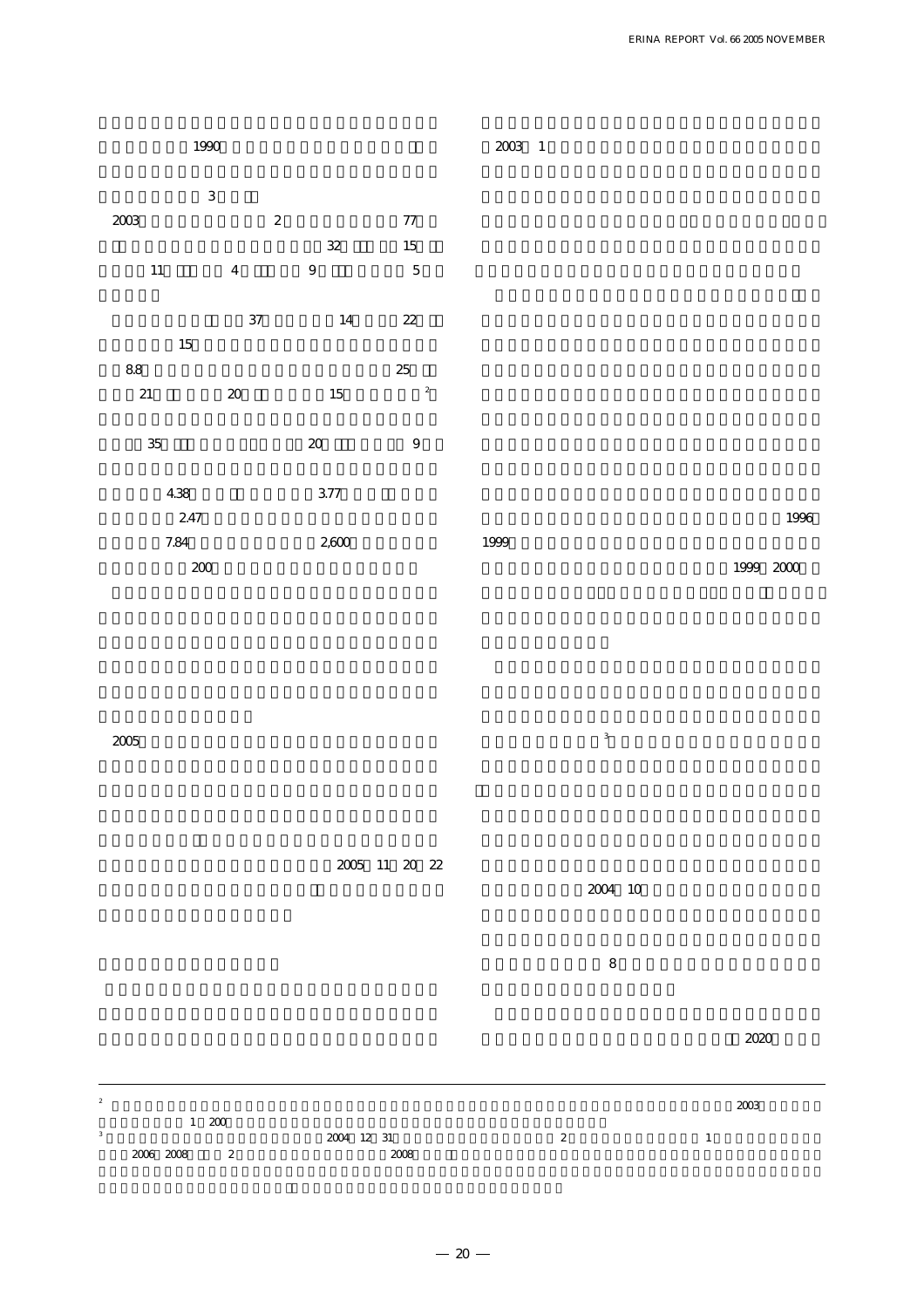|                | 1990             |          |                  | $2003\quad1$ |           |
|----------------|------------------|----------|------------------|--------------|-----------|
|                | $\,3$            |          |                  |              |           |
| $2003\,$       | $\boldsymbol{2}$ |          | $77\,$           |              |           |
|                |                  | $3\!2$   | $15\,$           |              |           |
| $11\,$         | $\sqrt{4}$       | $\,9$    | $\overline{5}$   |              |           |
|                |                  |          |                  |              |           |
|                | $37\,$           | $14\,$   | $2\!$            |              |           |
| $15\,$         |                  |          |                  |              |           |
| 88             |                  |          | $25\,$           |              |           |
| 21             | $2\!0$           | $15\,$   | $\boldsymbol{2}$ |              |           |
|                |                  |          |                  |              |           |
| $35\,$         |                  | $20\,$   | $\boldsymbol{9}$ |              |           |
|                |                  |          |                  |              |           |
| $4\mathbf{38}$ |                  | $3.77\,$ |                  |              |           |
| 247            |                  |          |                  |              | $1996\,$  |
| 7.84           |                  | $2,600$  |                  | 1999         |           |
|                | $200\,$          |          |                  |              | 1999 2000 |

| ×<br>I<br>۰,<br>I |  |
|-------------------|--|

2

3

 $2005$ 2005 11 20 22 の<br>3. インター - インター - インター<br>3. インター - インター - インター 、閣僚たちは大統領の見解にしたが

> 2004 10  $8$  $2020$

 $303$  $1\quad200$  $2004$  12 31 2 2 1  $2006~~2008$  2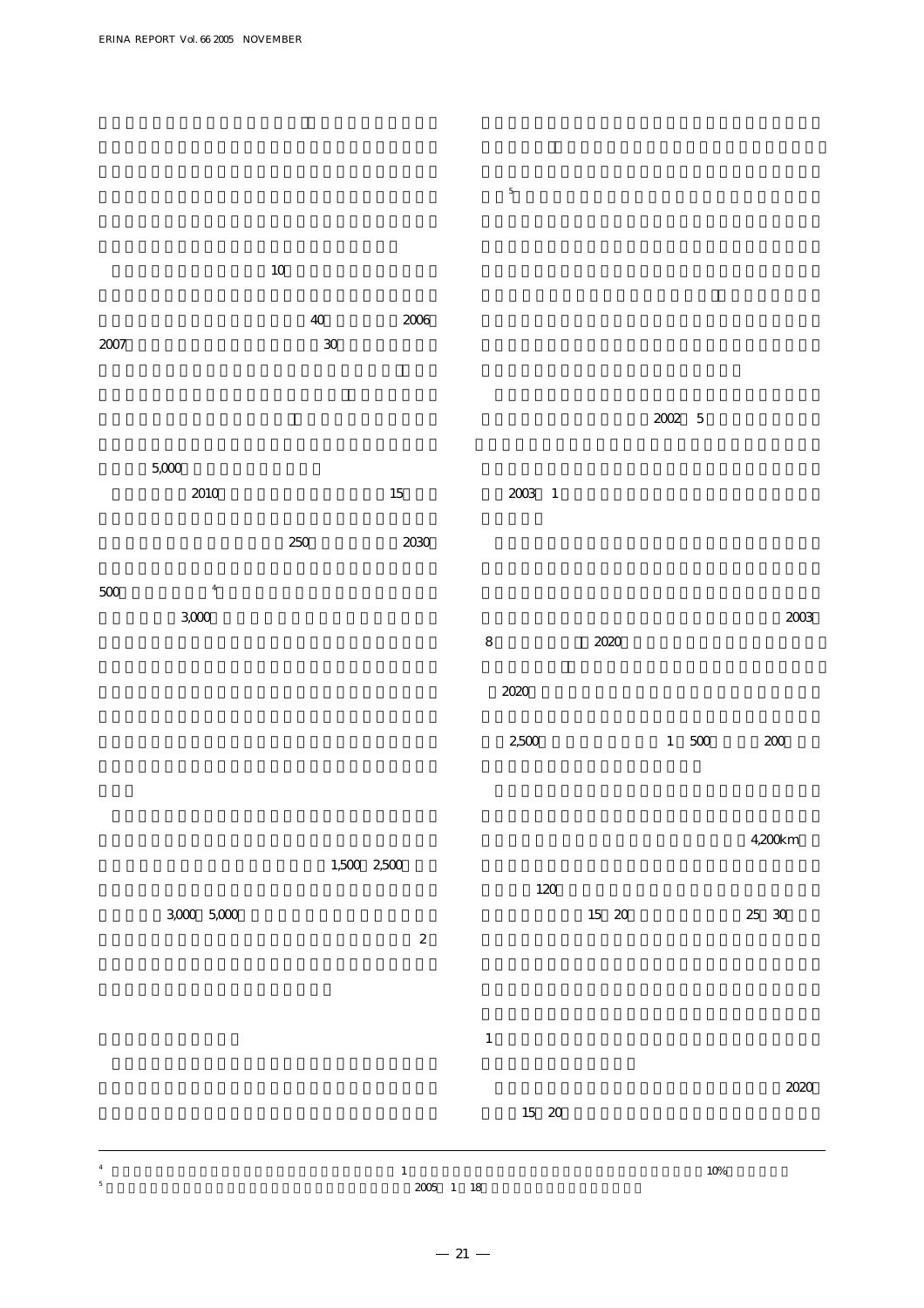$10$  $\overline{40}$  2006

5,000 長期的には、2010年までに石油埋蔵量を最大約15億トン 2002 5 2003 1

ある<sup>5</sup>

。同様に、ロシアのエネルギープランナーたちは、

2,500 1 500 200

15 20 25 30

 $1$ 

 $2003\,$ 

4,200km

天然ガス輸出に関しては、北東アジアのシェアは2020年

 $250$  2030  $500$   $4$ **。**<br>この一方で、同計画は、同計画は、同計画は、同計画は、同計画は、同

 $2007$  30

 $3000$ 8 2020  $\sim$  2020  $2020$ 

 $1,500$   $2,500$ 

 $3,000~5,000$  $\overline{c}$  $120$ 

4

5

 $1$  $2005$  1 18

 $-21-$ 

15 20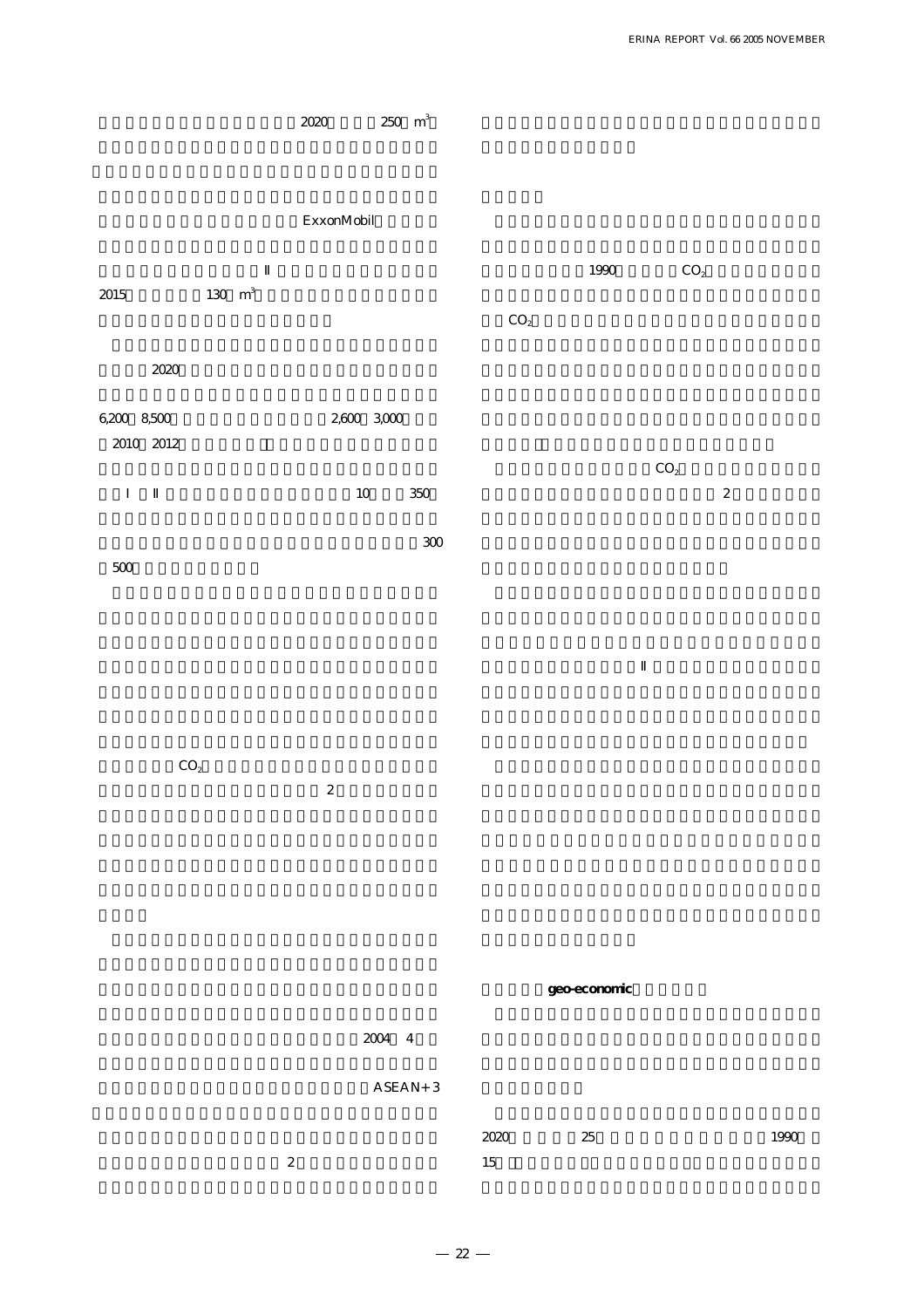$1990 \hspace{1.5cm} \text{CO}_2$ 

 $CO<sub>2</sub>$ 

 $CO<sub>2</sub>$  $\sim$  2

 $2020$   $250$   $m^3$ 

ExxonMobil

2015 130 m<sup>3</sup> のLNGを輸出し、日本はこの

 $2020$ 6,200~8,500<br>6,200~8,500 2010  $2012$ 

 $10 \t 350$  $300$  $500$ 

 $CO<sub>2</sub>$  $\overline{c}$ 

 $2004$  4

ASEAN+ 3

 $\sim$  2 2020  $25$  1990  $15$ 

geo-economic